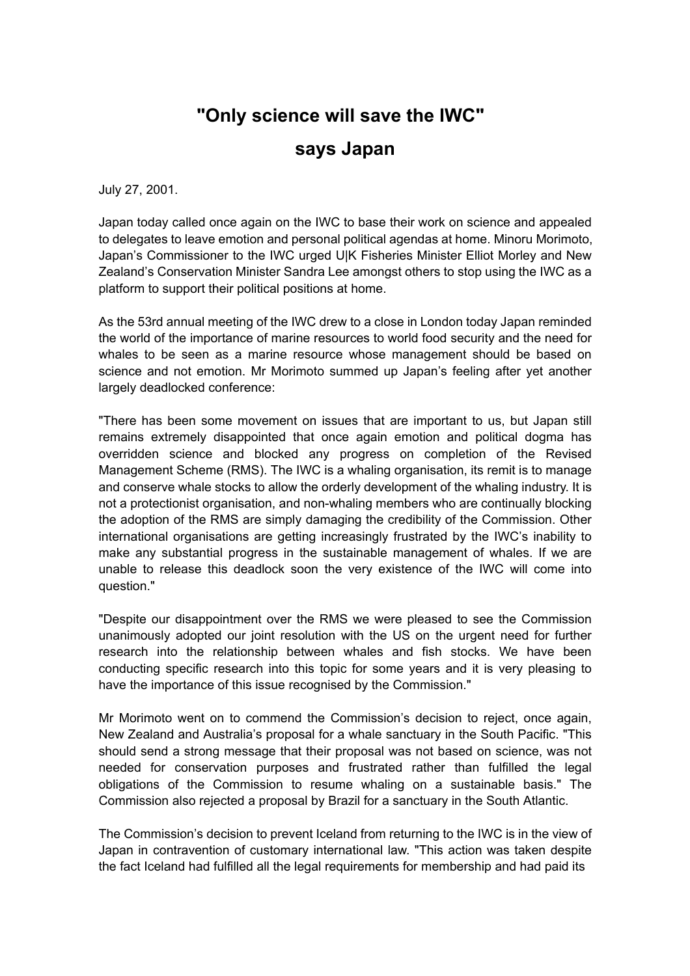## **"Only science will save the IWC" says Japan**

July 27, 2001.

Japan today called once again on the IWC to base their work on science and appealed to delegates to leave emotion and personal political agendas at home. Minoru Morimoto, Japan's Commissioner to the IWC urged U|K Fisheries Minister Elliot Morley and New Zealand's Conservation Minister Sandra Lee amongst others to stop using the IWC as a platform to support their political positions at home.

As the 53rd annual meeting of the IWC drew to a close in London today Japan reminded the world of the importance of marine resources to world food security and the need for whales to be seen as a marine resource whose management should be based on science and not emotion. Mr Morimoto summed up Japan's feeling after yet another largely deadlocked conference:

"There has been some movement on issues that are important to us, but Japan still remains extremely disappointed that once again emotion and political dogma has overridden science and blocked any progress on completion of the Revised Management Scheme (RMS). The IWC is a whaling organisation, its remit is to manage and conserve whale stocks to allow the orderly development of the whaling industry. It is not a protectionist organisation, and non-whaling members who are continually blocking the adoption of the RMS are simply damaging the credibility of the Commission. Other international organisations are getting increasingly frustrated by the IWC's inability to make any substantial progress in the sustainable management of whales. If we are unable to release this deadlock soon the very existence of the IWC will come into question."

"Despite our disappointment over the RMS we were pleased to see the Commission unanimously adopted our joint resolution with the US on the urgent need for further research into the relationship between whales and fish stocks. We have been conducting specific research into this topic for some years and it is very pleasing to have the importance of this issue recognised by the Commission."

Mr Morimoto went on to commend the Commission's decision to reject, once again, New Zealand and Australia's proposal for a whale sanctuary in the South Pacific. "This should send a strong message that their proposal was not based on science, was not needed for conservation purposes and frustrated rather than fulfilled the legal obligations of the Commission to resume whaling on a sustainable basis." The Commission also rejected a proposal by Brazil for a sanctuary in the South Atlantic.

The Commission's decision to prevent Iceland from returning to the IWC is in the view of Japan in contravention of customary international law. "This action was taken despite the fact Iceland had fulfilled all the legal requirements for membership and had paid its